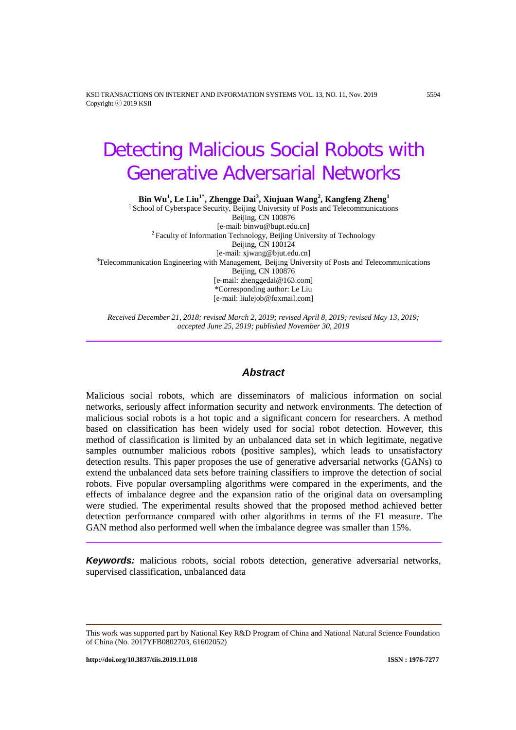KSII TRANSACTIONS ON INTERNET AND INFORMATION SYSTEMS VOL. 13, NO. 11, Nov. 2019 5594 Copyright ⓒ 2019 KSII

# Detecting Malicious Social Robots with Generative Adversarial Networks

**Bin Wu1 , Le Liu1\* , Zhengge Dai3 , Xiujuan Wang<sup>2</sup> , Kangfeng Zheng<sup>1</sup>**

<sup>1</sup> School of Cyberspace Security, Beijing University of Posts and Telecommunications Beijing, CN 100876<br>[e-mail: binwu@bupt.edu.cn] <sup>2</sup> Faculty of Information Technology, Beijing University of Technology Beijing, CN 100124 [e-mail: xjwang@bjut.edu.cn] <sup>3</sup> Telecommunication Engineering with Management, Beijing University of Posts and Telecommunications Beijing, CN 100876 [e-mail: zhenggedai@163.com] \*Corresponding author: Le Liu [e-mail: liulejob@foxmail.com]

*Received December 21, 2018; revised March 2, 2019; revised April 8, 2019; revised May 13, 2019; accepted June 25, 2019; published November 30, 2019*

# *Abstract*

Malicious social robots, which are disseminators of malicious information on social networks, seriously affect information security and network environments. The detection of malicious social robots is a hot topic and a significant concern for researchers. A method based on classification has been widely used for social robot detection. However, this method of classification is limited by an unbalanced data set in which legitimate, negative samples outnumber malicious robots (positive samples), which leads to unsatisfactory detection results. This paper proposes the use of generative adversarial networks (GANs) to extend the unbalanced data sets before training classifiers to improve the detection of social robots. Five popular oversampling algorithms were compared in the experiments, and the effects of imbalance degree and the expansion ratio of the original data on oversampling were studied. The experimental results showed that the proposed method achieved better detection performance compared with other algorithms in terms of the F1 measure. The GAN method also performed well when the imbalance degree was smaller than 15%.

**Keywords:** malicious robots, social robots detection, generative adversarial networks, supervised classification, unbalanced data

This work was supported part by National Key R&D Program of China and National Natural Science Foundation of China (No. 2017YFB0802703, 61602052)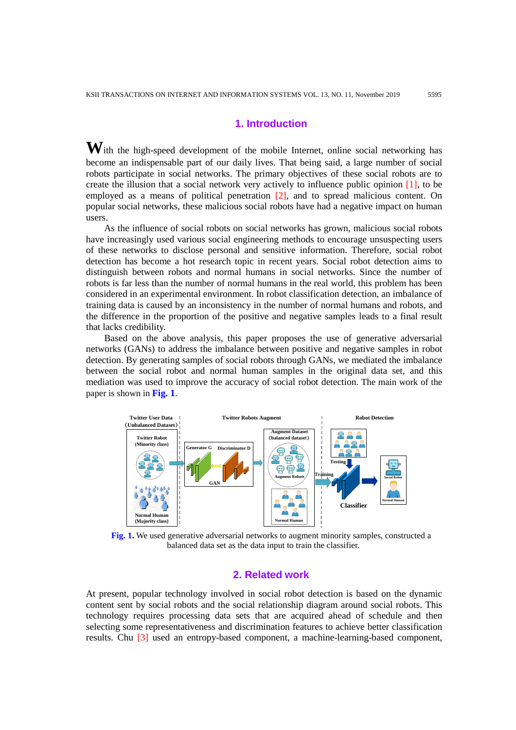# **1. Introduction**

**W**ith the high-speed development of the mobile Internet, online social networking has become an indispensable part of our daily lives. That being said, a large number of social robots participate in social networks. The primary objectives of these social robots are to create the illusion that a social network very actively to influence public opinion [1], to be employed as a means of political penetration [2], and to spread malicious content. On popular social networks, these malicious social robots have had a negative impact on human users.

As the influence of social robots on social networks has grown, malicious social robots have increasingly used various social engineering methods to encourage unsuspecting users of these networks to disclose personal and sensitive information. Therefore, social robot detection has become a hot research topic in recent years. Social robot detection aims to distinguish between robots and normal humans in social networks. Since the number of robots is far less than the number of normal humans in the real world, this problem has been considered in an experimental environment. In robot classification detection, an imbalance of training data is caused by an inconsistency in the number of normal humans and robots, and the difference in the proportion of the positive and negative samples leads to a final result that lacks credibility.

Based on the above analysis, this paper proposes the use of generative adversarial networks (GANs) to address the imbalance between positive and negative samples in robot detection. By generating samples of social robots through GANs, we mediated the imbalance between the social robot and normal human samples in the original data set, and this mediation was used to improve the accuracy of social robot detection. The main work of the paper is shown in **Fig. 1**.



**Fig. 1.** We used generative adversarial networks to augment minority samples, constructed a balanced data set as the data input to train the classifier.

# **2. Related work**

At present, popular technology involved in social robot detection is based on the dynamic content sent by social robots and the social relationship diagram around social robots. This technology requires processing data sets that are acquired ahead of schedule and then selecting some representativeness and discrimination features to achieve better classification results. Chu [3] used an entropy-based component, a machine-learning-based component,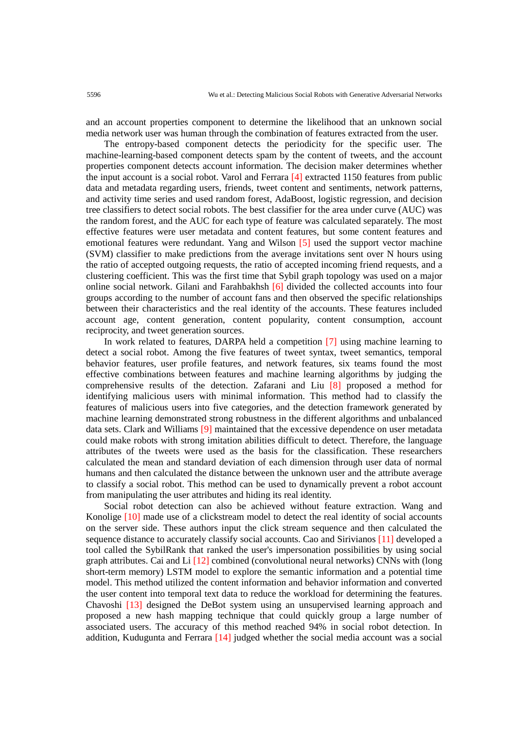and an account properties component to determine the likelihood that an unknown social media network user was human through the combination of features extracted from the user.

The entropy-based component detects the periodicity for the specific user. The machine-learning-based component detects spam by the content of tweets, and the account properties component detects account information. The decision maker determines whether the input account is a social robot. Varol and Ferrara [4] extracted 1150 features from public data and metadata regarding users, friends, tweet content and sentiments, network patterns, and activity time series and used random forest, AdaBoost, logistic regression, and decision tree classifiers to detect social robots. The best classifier for the area under curve (AUC) was the random forest, and the AUC for each type of feature was calculated separately. The most effective features were user metadata and content features, but some content features and emotional features were redundant. Yang and Wilson [5] used the support vector machine (SVM) classifier to make predictions from the average invitations sent over N hours using the ratio of accepted outgoing requests, the ratio of accepted incoming friend requests, and a clustering coefficient. This was the first time that Sybil graph topology was used on a major online social network. Gilani and Farahbakhsh [6] divided the collected accounts into four groups according to the number of account fans and then observed the specific relationships between their characteristics and the real identity of the accounts. These features included account age, content generation, content popularity, content consumption, account reciprocity, and tweet generation sources.

In work related to features, DARPA held a competition [7] using machine learning to detect a social robot. Among the five features of tweet syntax, tweet semantics, temporal behavior features, user profile features, and network features, six teams found the most effective combinations between features and machine learning algorithms by judging the comprehensive results of the detection. Zafarani and Liu [8] proposed a method for identifying malicious users with minimal information. This method had to classify the features of malicious users into five categories, and the detection framework generated by machine learning demonstrated strong robustness in the different algorithms and unbalanced data sets. Clark and Williams [9] maintained that the excessive dependence on user metadata could make robots with strong imitation abilities difficult to detect. Therefore, the language attributes of the tweets were used as the basis for the classification. These researchers calculated the mean and standard deviation of each dimension through user data of normal humans and then calculated the distance between the unknown user and the attribute average to classify a social robot. This method can be used to dynamically prevent a robot account from manipulating the user attributes and hiding its real identity.

Social robot detection can also be achieved without feature extraction. Wang and Konolige [10] made use of a clickstream model to detect the real identity of social accounts on the server side. These authors input the click stream sequence and then calculated the sequence distance to accurately classify social accounts. Cao and Sirivianos [11] developed a tool called the SybilRank that ranked the user's impersonation possibilities by using social graph attributes. Cai and Li [12] combined (convolutional neural networks) CNNs with (long short-term memory) LSTM model to explore the semantic information and a potential time model. This method utilized the content information and behavior information and converted the user content into temporal text data to reduce the workload for determining the features. Chavoshi [13] designed the DeBot system using an unsupervised learning approach and proposed a new hash mapping technique that could quickly group a large number of associated users. The accuracy of this method reached 94% in social robot detection. In addition, Kudugunta and Ferrara [14] judged whether the social media account was a social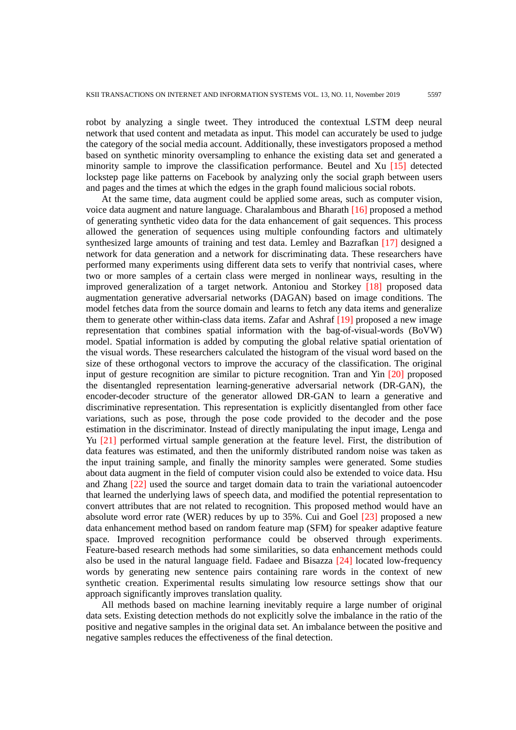robot by analyzing a single tweet. They introduced the contextual LSTM deep neural network that used content and metadata as input. This model can accurately be used to judge the category of the social media account. Additionally, these investigators proposed a method based on synthetic minority oversampling to enhance the existing data set and generated a minority sample to improve the classification performance. Beutel and Xu [15] detected lockstep page like patterns on Facebook by analyzing only the social graph between users and pages and the times at which the edges in the graph found malicious social robots.

At the same time, data augment could be applied some areas, such as computer vision, voice data augment and nature language. Charalambous and Bharath [16] proposed a method of generating synthetic video data for the data enhancement of gait sequences. This process allowed the generation of sequences using multiple confounding factors and ultimately synthesized large amounts of training and test data. Lemley and Bazrafkan [17] designed a network for data generation and a network for discriminating data. These researchers have performed many experiments using different data sets to verify that nontrivial cases, where two or more samples of a certain class were merged in nonlinear ways, resulting in the improved generalization of a target network. Antoniou and Storkey [18] proposed data augmentation generative adversarial networks (DAGAN) based on image conditions. The model fetches data from the source domain and learns to fetch any data items and generalize them to generate other within-class data items. Zafar and Ashraf [19] proposed a new image representation that combines spatial information with the bag-of-visual-words (BoVW) model. Spatial information is added by computing the global relative spatial orientation of the visual words. These researchers calculated the histogram of the visual word based on the size of these orthogonal vectors to improve the accuracy of the classification. The original input of gesture recognition are similar to picture recognition. Tran and Yin [20] proposed the disentangled representation learning-generative adversarial network (DR-GAN), the encoder-decoder structure of the generator allowed DR-GAN to learn a generative and discriminative representation. This representation is explicitly disentangled from other face variations, such as pose, through the pose code provided to the decoder and the pose estimation in the discriminator. Instead of directly manipulating the input image, Lenga and Yu [21] performed virtual sample generation at the feature level. First, the distribution of data features was estimated, and then the uniformly distributed random noise was taken as the input training sample, and finally the minority samples were generated. Some studies about data augment in the field of computer vision could also be extended to voice data. Hsu and Zhang [22] used the source and target domain data to train the variational autoencoder that learned the underlying laws of speech data, and modified the potential representation to convert attributes that are not related to recognition. This proposed method would have an absolute word error rate (WER) reduces by up to 35%. Cui and Goel [23] proposed a new data enhancement method based on random feature map (SFM) for speaker adaptive feature space. Improved recognition performance could be observed through experiments. Feature-based research methods had some similarities, so data enhancement methods could also be used in the natural language field. Fadaee and Bisazza [24] located low-frequency words by generating new sentence pairs containing rare words in the context of new synthetic creation. Experimental results simulating low resource settings show that our approach significantly improves translation quality.

All methods based on machine learning inevitably require a large number of original data sets. Existing detection methods do not explicitly solve the imbalance in the ratio of the positive and negative samples in the original data set. An imbalance between the positive and negative samples reduces the effectiveness of the final detection.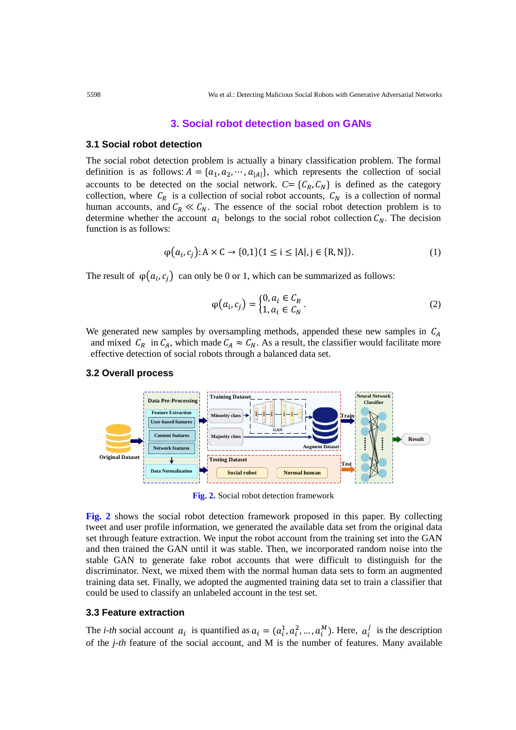## **3. Social robot detection based on GANs**

#### **3.1 Social robot detection**

The social robot detection problem is actually a binary classification problem. The formal definition is as follows:  $A = \{a_1, a_2, \dots, a_{|A|}\}\$ , which represents the collection of social accounts to be detected on the social network.  $C = \{C_R, C_N\}$  is defined as the category collection, where  $C_R$  is a collection of social robot accounts,  $C_N$  is a collection of normal human accounts, and  $C_R \ll C_N$ . The essence of the social robot detection problem is to determine whether the account  $a_i$  belongs to the social robot collection  $C_N$ . The decision function is as follows:

$$
\varphi(a_i, c_j): A \times C \to \{0, 1\} (1 \le i \le |A|, j \in \{R, N\}).
$$
\n(1)

The result of  $\varphi(a_i, c_i)$  can only be 0 or 1, which can be summarized as follows:

$$
\varphi(a_i, c_j) = \begin{cases} 0, a_i \in C_R \\ 1, a_i \in C_N \end{cases} .
$$
 (2)

We generated new samples by oversampling methods, appended these new samples in  $C_A$ and mixed  $C_R$  in  $C_A$ , which made  $C_A \approx C_N$ . As a result, the classifier would facilitate more effective detection of social robots through a balanced data set.

#### **3.2 Overall process**



**Fig. 2.** Social robot detection framework

**Fig. 2** shows the social robot detection framework proposed in this paper. By collecting tweet and user profile information, we generated the available data set from the original data set through feature extraction. We input the robot account from the training set into the GAN and then trained the GAN until it was stable. Then, we incorporated random noise into the stable GAN to generate fake robot accounts that were difficult to distinguish for the discriminator. Next, we mixed them with the normal human data sets to form an augmented training data set. Finally, we adopted the augmented training data set to train a classifier that could be used to classify an unlabeled account in the test set.

# **3.3 Feature extraction**

The *i-th* social account  $a_i$  is quantified as  $a_i = (a_i^1, a_i^2, ..., a_i^M)$ . Here,  $a_i^j$  is the description of the *j-th* feature of the social account, and M is the number of features. Many available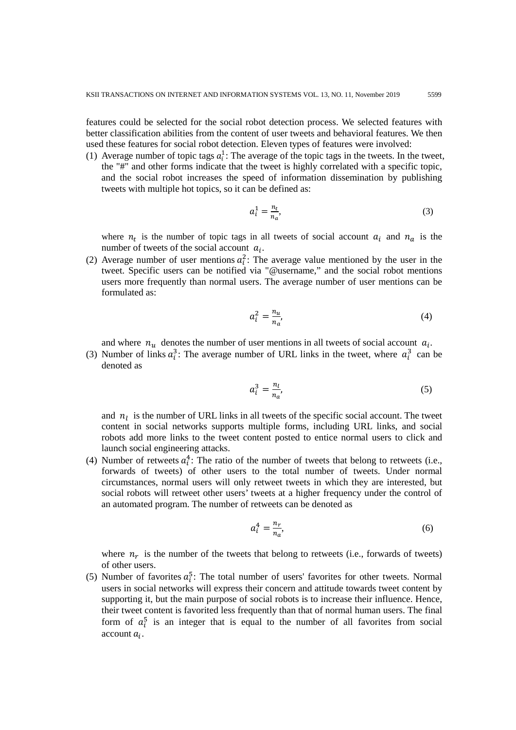features could be selected for the social robot detection process. We selected features with better classification abilities from the content of user tweets and behavioral features. We then used these features for social robot detection. Eleven types of features were involved:

(1) Average number of topic tags  $a_i^1$ : The average of the topic tags in the tweets. In the tweet, the "#" and other forms indicate that the tweet is highly correlated with a specific topic, and the social robot increases the speed of information dissemination by publishing tweets with multiple hot topics, so it can be defined as:

$$
a_l^1 = \frac{n_t}{n_a},\tag{3}
$$

where  $n_t$  is the number of topic tags in all tweets of social account  $a_i$  and  $n_a$  is the number of tweets of the social account  $a_i$ .

(2) Average number of user mentions  $a_i^2$ : The average value mentioned by the user in the tweet. Specific users can be notified via "@username," and the social robot mentions users more frequently than normal users. The average number of user mentions can be formulated as:

$$
a_i^2 = \frac{n_u}{n_a},\tag{4}
$$

and where  $n_u$  denotes the number of user mentions in all tweets of social account  $a_i$ .

(3) Number of links  $a_i^3$ : The average number of URL links in the tweet, where  $a_i^3$  can be denoted as

$$
a_i^3 = \frac{n_l}{n_a'},\tag{5}
$$

and  $n_l$  is the number of URL links in all tweets of the specific social account. The tweet content in social networks supports multiple forms, including URL links, and social robots add more links to the tweet content posted to entice normal users to click and launch social engineering attacks.

(4) Number of retweets  $a_i^4$ : The ratio of the number of tweets that belong to retweets (i.e., forwards of tweets) of other users to the total number of tweets. Under normal circumstances, normal users will only retweet tweets in which they are interested, but social robots will retweet other users' tweets at a higher frequency under the control of an automated program. The number of retweets can be denoted as

$$
a_i^4 = \frac{n_r}{n_a},\tag{6}
$$

where  $n_r$  is the number of the tweets that belong to retweets (i.e., forwards of tweets) of other users.

(5) Number of favorites  $a_i^5$ : The total number of users' favorites for other tweets. Normal users in social networks will express their concern and attitude towards tweet content by supporting it, but the main purpose of social robots is to increase their influence. Hence, their tweet content is favorited less frequently than that of normal human users. The final form of  $a_i^5$  is an integer that is equal to the number of all favorites from social account  $a_i$ .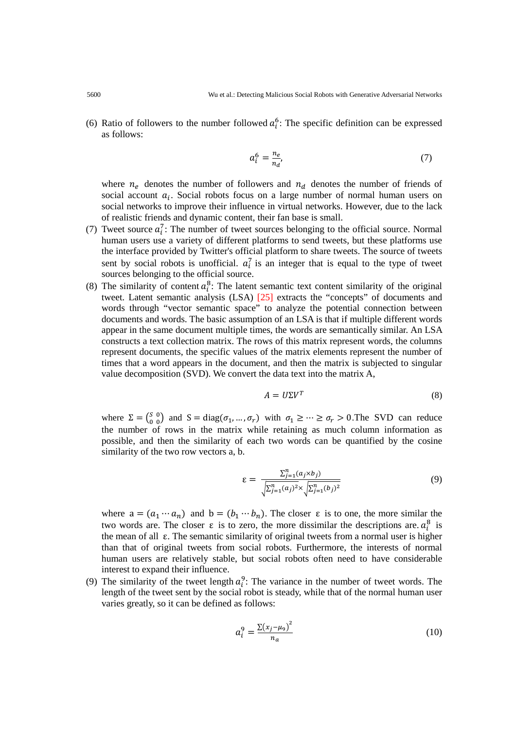(6) Ratio of followers to the number followed  $a_i^6$ : The specific definition can be expressed as follows:

$$
a_i^6 = \frac{n_e}{n_d'},\tag{7}
$$

where  $n_e$  denotes the number of followers and  $n_d$  denotes the number of friends of social account  $a_i$ . Social robots focus on a large number of normal human users on social networks to improve their influence in virtual networks. However, due to the lack of realistic friends and dynamic content, their fan base is small.

- (7) Tweet source  $a_i^7$ : The number of tweet sources belonging to the official source. Normal human users use a variety of different platforms to send tweets, but these platforms use the interface provided by Twitter's official platform to share tweets. The source of tweets sent by social robots is unofficial.  $a_i^7$  is an integer that is equal to the type of tweet sources belonging to the official source.
- (8) The similarity of content  $a_i^8$ : The latent semantic text content similarity of the original tweet. Latent semantic analysis (LSA) [25] extracts the "concepts" of documents and words through "vector semantic space" to analyze the potential connection between documents and words. The basic assumption of an LSA is that if multiple different words appear in the same document multiple times, the words are semantically similar. An LSA constructs a text collection matrix. The rows of this matrix represent words, the columns represent documents, the specific values of the matrix elements represent the number of times that a word appears in the document, and then the matrix is subjected to singular value decomposition (SVD). We convert the data text into the matrix A,

$$
A = U\Sigma V^T \tag{8}
$$

where  $\Sigma = \begin{pmatrix} S & 0 \\ 0 & 0 \end{pmatrix}$  and  $S = diag(\sigma_1, ..., \sigma_r)$  with  $\sigma_1 \geq ... \geq \sigma_r > 0$ . The SVD can reduce the number of rows in the matrix while retaining as much column information as possible, and then the similarity of each two words can be quantified by the cosine similarity of the two row vectors a, b.

$$
\varepsilon = \frac{\sum_{j=1}^{n} (a_j \times b_j)}{\sqrt{\sum_{j=1}^{n} (a_j)^2} \times \sqrt{\sum_{j=1}^{n} (b_j)^2}}
$$
(9)

where  $a = (a_1 \cdots a_n)$  and  $b = (b_1 \cdots b_n)$ . The closer  $\varepsilon$  is to one, the more similar the two words are. The closer  $\varepsilon$  is to zero, the more dissimilar the descriptions are.  $a_i^8$  is the mean of all ε. The semantic similarity of original tweets from a normal user is higher than that of original tweets from social robots. Furthermore, the interests of normal human users are relatively stable, but social robots often need to have considerable interest to expand their influence.

(9) The similarity of the tweet length  $a_i^9$ : The variance in the number of tweet words. The length of the tweet sent by the social robot is steady, while that of the normal human user varies greatly, so it can be defined as follows:

$$
a_i^9 = \frac{\Sigma (x_j - \mu_9)^2}{n_a} \tag{10}
$$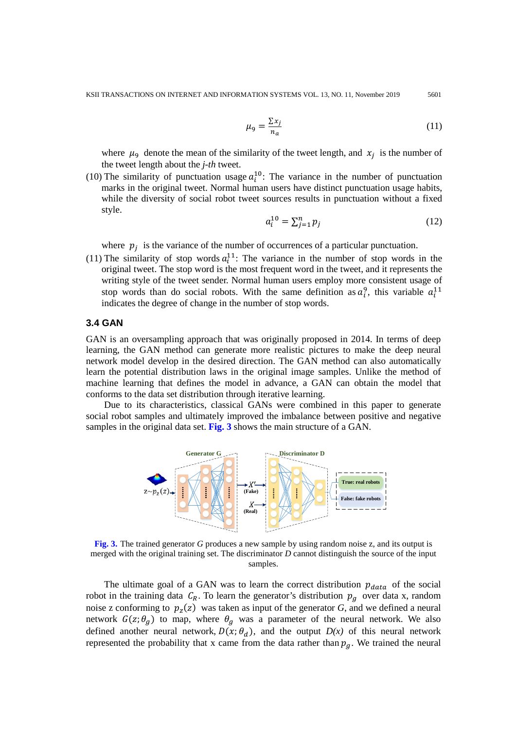$$
\mu_9 = \frac{\sum x_j}{n_a} \tag{11}
$$

where  $\mu_{9}$  denote the mean of the similarity of the tweet length, and  $x_{j}$  is the number of the tweet length about the *j-th* tweet.

(10) The similarity of punctuation usage  $a_i^{10}$ . The variance in the number of punctuation marks in the original tweet. Normal human users have distinct punctuation usage habits, while the diversity of social robot tweet sources results in punctuation without a fixed style.

$$
a_i^{10} = \sum_{j=1}^n p_j \tag{12}
$$

where  $p_i$  is the variance of the number of occurrences of a particular punctuation.

(11) The similarity of stop words  $a_i^{11}$ . The variance in the number of stop words in the original tweet. The stop word is the most frequent word in the tweet, and it represents the writing style of the tweet sender. Normal human users employ more consistent usage of stop words than do social robots. With the same definition as  $a_i^9$ , this variable  $a_i^{11}$ indicates the degree of change in the number of stop words.

## **3.4 GAN**

GAN is an oversampling approach that was originally proposed in 2014. In terms of deep learning, the GAN method can generate more realistic pictures to make the deep neural network model develop in the desired direction. The GAN method can also automatically learn the potential distribution laws in the original image samples. Unlike the method of machine learning that defines the model in advance, a GAN can obtain the model that conforms to the data set distribution through iterative learning.

Due to its characteristics, classical GANs were combined in this paper to generate social robot samples and ultimately improved the imbalance between positive and negative samples in the original data set. **Fig. 3** shows the main structure of a GAN.



**Fig. 3.** The trained generator *G* produces a new sample by using random noise z, and its output is merged with the original training set. The discriminator *D* cannot distinguish the source of the input samples.

The ultimate goal of a GAN was to learn the correct distribution  $p_{data}$  of the social robot in the training data  $C_R$ . To learn the generator's distribution  $p_q$  over data x, random noise z conforming to  $p_z(z)$  was taken as input of the generator *G*, and we defined a neural network  $G(z; \theta_g)$  to map, where  $\theta_g$  was a parameter of the neural network. We also defined another neural network,  $D(x; \theta_d)$ , and the output  $D(x)$  of this neural network represented the probability that x came from the data rather than  $p<sub>q</sub>$ . We trained the neural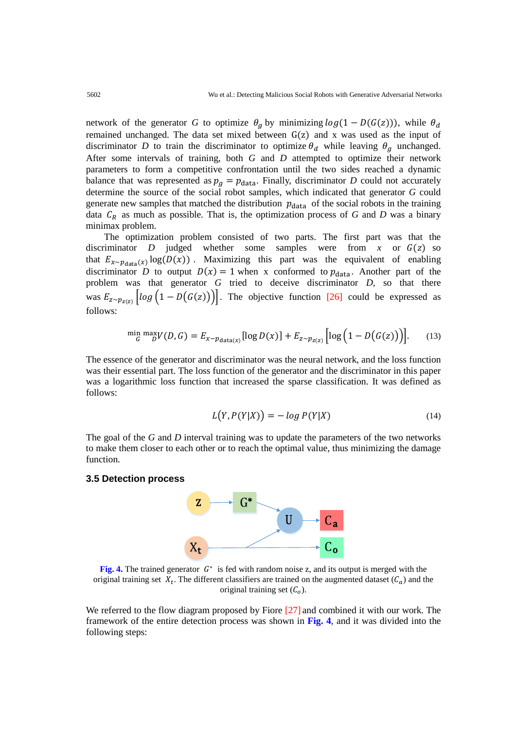network of the generator *G* to optimize  $\theta_q$  by minimizing  $log(1 - D(G(z)))$ , while  $\theta_d$ remained unchanged. The data set mixed between  $G(z)$  and x was used as the input of discriminator *D* to train the discriminator to optimize  $\theta_d$  while leaving  $\theta_a$  unchanged. After some intervals of training, both *G* and *D* attempted to optimize their network parameters to form a competitive confrontation until the two sides reached a dynamic balance that was represented as  $p_q = p_{data}$ . Finally, discriminator *D* could not accurately determine the source of the social robot samples, which indicated that generator *G* could generate new samples that matched the distribution  $p_{data}$  of the social robots in the training data  $C_R$  as much as possible. That is, the optimization process of *G* and *D* was a binary minimax problem.

The optimization problem consisted of two parts. The first part was that the discriminator  $D$  judged whether some samples were from  $x$  or  $G(z)$  so that  $E_{x \sim p_{data}(x)} \log(D(x))$ . Maximizing this part was the equivalent of enabling discriminator *D* to output  $D(x) = 1$  when x conformed to  $p_{data}$ . Another part of the problem was that generator *G* tried to deceive discriminator *D*, so that there was  $E_{z \sim p_{z(z)}} \left[ log \left( 1 - D(G(z)) \right) \right]$ . The objective function [26] could be expressed as follows:

$$
\min_{G} \max_{D} V(D, G) = E_{x - p_{\text{data}(x)}}[\log D(x)] + E_{z \sim p_{z(z)}}\left[\log\left(1 - D(G(z))\right)\right].\tag{13}
$$

The essence of the generator and discriminator was the neural network, and the loss function was their essential part. The loss function of the generator and the discriminator in this paper was a logarithmic loss function that increased the sparse classification. It was defined as follows:

$$
L(Y, P(Y|X)) = -\log P(Y|X) \tag{14}
$$

The goal of the *G* and *D* interval training was to update the parameters of the two networks to make them closer to each other or to reach the optimal value, thus minimizing the damage function.

## **3.5 Detection process**



**Fig.** 4. The trained generator  $G^*$  is fed with random noise z, and its output is merged with the original training set  $X_t$ . The different classifiers are trained on the augmented dataset  $(C_a)$  and the original training set  $(C<sub>o</sub>)$ .

We referred to the flow diagram proposed by Fiore [27] and combined it with our work. The framework of the entire detection process was shown in **Fig. 4**, and it was divided into the following steps: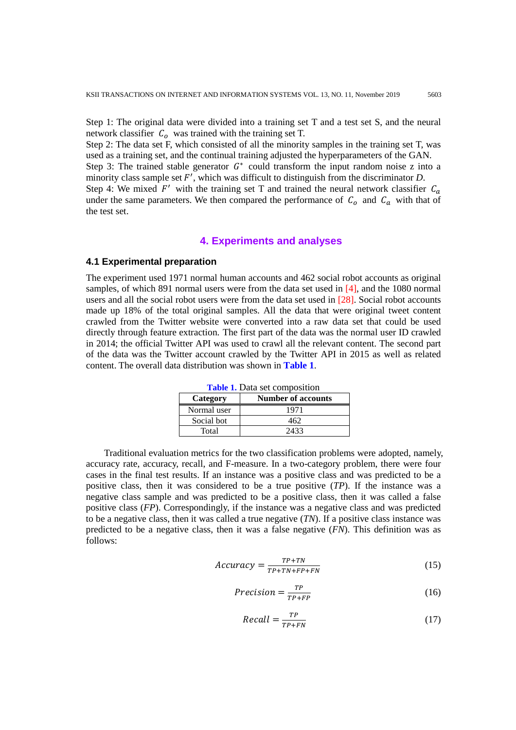Step 1: The original data were divided into a training set T and a test set S, and the neural network classifier  $C_0$  was trained with the training set T.

Step 2: The data set F, which consisted of all the minority samples in the training set T, was used as a training set, and the continual training adjusted the hyperparameters of the GAN.

Step 3: The trained stable generator  $G^*$  could transform the input random noise z into a minority class sample set  $F'$ , which was difficult to distinguish from the discriminator  $D$ .

Step 4: We mixed  $F'$  with the training set T and trained the neural network classifier  $C_a$ under the same parameters. We then compared the performance of  $C_0$  and  $C_a$  with that of the test set.

## **4. Experiments and analyses**

# **4.1 Experimental preparation**

The experiment used 1971 normal human accounts and 462 social robot accounts as original samples, of which 891 normal users were from the data set used in [4], and the 1080 normal users and all the social robot users were from the data set used in [28]. Social robot accounts made up 18% of the total original samples. All the data that were original tweet content crawled from the Twitter website were converted into a raw data set that could be used directly through feature extraction. The first part of the data was the normal user ID crawled in 2014; the official Twitter API was used to crawl all the relevant content. The second part of the data was the Twitter account crawled by the Twitter API in 2015 as well as related content. The overall data distribution was shown in **Table 1**.

| Category    | <b>Number of accounts</b> |
|-------------|---------------------------|
| Normal user | 1971                      |
| Social bot  | 462                       |
| Total       | 2433                      |

**Table 1.** Data set composition

Traditional evaluation metrics for the two classification problems were adopted, namely, accuracy rate, accuracy, recall, and F-measure. In a two-category problem, there were four cases in the final test results. If an instance was a positive class and was predicted to be a positive class, then it was considered to be a true positive (*TP*). If the instance was a negative class sample and was predicted to be a positive class, then it was called a false positive class (*FP*). Correspondingly, if the instance was a negative class and was predicted to be a negative class, then it was called a true negative (*TN*). If a positive class instance was predicted to be a negative class, then it was a false negative (*FN*). This definition was as follows:

$$
Accuracy = \frac{TP + TN}{TP + TN + FP + FN}
$$
 (15)

$$
Precision = \frac{TP}{TP + FP}
$$
 (16)

$$
Recall = \frac{TP}{TP + FN} \tag{17}
$$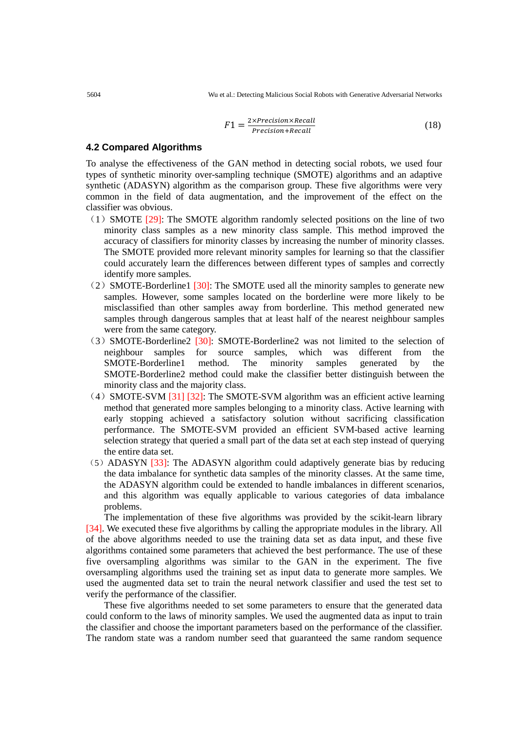$$
F1 = \frac{2 \times Precision \times Recall}{Precision + Recall}
$$
 (18)

# **4.2 Compared Algorithms**

To analyse the effectiveness of the GAN method in detecting social robots, we used four types of synthetic minority over-sampling technique (SMOTE) algorithms and an adaptive synthetic (ADASYN) algorithm as the comparison group. These five algorithms were very common in the field of data augmentation, and the improvement of the effect on the classifier was obvious.

- (1) SMOTE  $[29]$ : The SMOTE algorithm randomly selected positions on the line of two minority class samples as a new minority class sample. This method improved the accuracy of classifiers for minority classes by increasing the number of minority classes. The SMOTE provided more relevant minority samples for learning so that the classifier could accurately learn the differences between different types of samples and correctly identify more samples.
- $(2)$  SMOTE-Borderline1 [30]: The SMOTE used all the minority samples to generate new samples. However, some samples located on the borderline were more likely to be misclassified than other samples away from borderline. This method generated new samples through dangerous samples that at least half of the nearest neighbour samples were from the same category.
- (3)SMOTE-Borderline2 [30]: SMOTE-Borderline2 was not limited to the selection of neighbour samples for source samples, which was different from the SMOTE-Borderline1 method. The minority samples generated by the SMOTE-Borderline2 method could make the classifier better distinguish between the minority class and the majority class.
- $(4)$  SMOTE-SVM [31] [32]: The SMOTE-SVM algorithm was an efficient active learning method that generated more samples belonging to a minority class. Active learning with early stopping achieved a satisfactory solution without sacrificing classification performance. The SMOTE-SVM provided an efficient SVM-based active learning selection strategy that queried a small part of the data set at each step instead of querying the entire data set.
- (5)ADASYN [33]: The ADASYN algorithm could adaptively generate bias by reducing the data imbalance for synthetic data samples of the minority classes. At the same time, the ADASYN algorithm could be extended to handle imbalances in different scenarios, and this algorithm was equally applicable to various categories of data imbalance problems.

The implementation of these five algorithms was provided by the scikit-learn library [34]. We executed these five algorithms by calling the appropriate modules in the library. All of the above algorithms needed to use the training data set as data input, and these five algorithms contained some parameters that achieved the best performance. The use of these five oversampling algorithms was similar to the GAN in the experiment. The five oversampling algorithms used the training set as input data to generate more samples. We used the augmented data set to train the neural network classifier and used the test set to verify the performance of the classifier.

These five algorithms needed to set some parameters to ensure that the generated data could conform to the laws of minority samples. We used the augmented data as input to train the classifier and choose the important parameters based on the performance of the classifier. The random state was a random number seed that guaranteed the same random sequence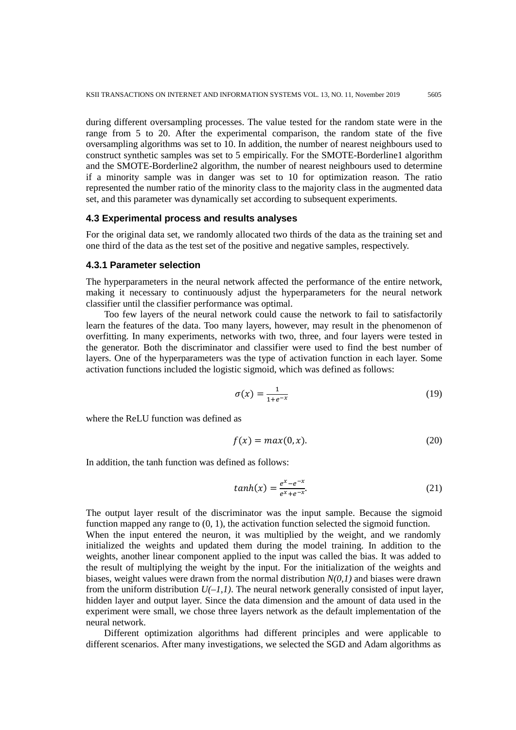during different oversampling processes. The value tested for the random state were in the range from 5 to 20. After the experimental comparison, the random state of the five oversampling algorithms was set to 10. In addition, the number of nearest neighbours used to construct synthetic samples was set to 5 empirically. For the SMOTE-Borderline1 algorithm and the SMOTE-Borderline2 algorithm, the number of nearest neighbours used to determine if a minority sample was in danger was set to 10 for optimization reason. The ratio represented the number ratio of the minority class to the majority class in the augmented data set, and this parameter was dynamically set according to subsequent experiments.

#### **4.3 Experimental process and results analyses**

For the original data set, we randomly allocated two thirds of the data as the training set and one third of the data as the test set of the positive and negative samples, respectively.

#### **4.3.1 Parameter selection**

The hyperparameters in the neural network affected the performance of the entire network, making it necessary to continuously adjust the hyperparameters for the neural network classifier until the classifier performance was optimal.

Too few layers of the neural network could cause the network to fail to satisfactorily learn the features of the data. Too many layers, however, may result in the phenomenon of overfitting. In many experiments, networks with two, three, and four layers were tested in the generator. Both the discriminator and classifier were used to find the best number of layers. One of the hyperparameters was the type of activation function in each layer. Some activation functions included the logistic sigmoid, which was defined as follows:

$$
\sigma(x) = \frac{1}{1 + e^{-x}}\tag{19}
$$

where the ReLU function was defined as

$$
f(x) = max(0, x). \tag{20}
$$

In addition, the tanh function was defined as follows:

$$
tanh(x) = \frac{e^x - e^{-x}}{e^x + e^{-x}}.
$$
\n(21)

The output layer result of the discriminator was the input sample. Because the sigmoid function mapped any range to  $(0, 1)$ , the activation function selected the sigmoid function. When the input entered the neuron, it was multiplied by the weight, and we randomly initialized the weights and updated them during the model training. In addition to the weights, another linear component applied to the input was called the bias. It was added to the result of multiplying the weight by the input. For the initialization of the weights and biases, weight values were drawn from the normal distribution *N(0,1)* and biases were drawn from the uniform distribution  $U(-1,1)$ . The neural network generally consisted of input layer, hidden layer and output layer. Since the data dimension and the amount of data used in the experiment were small, we chose three layers network as the default implementation of the neural network.

Different optimization algorithms had different principles and were applicable to different scenarios. After many investigations, we selected the SGD and Adam algorithms as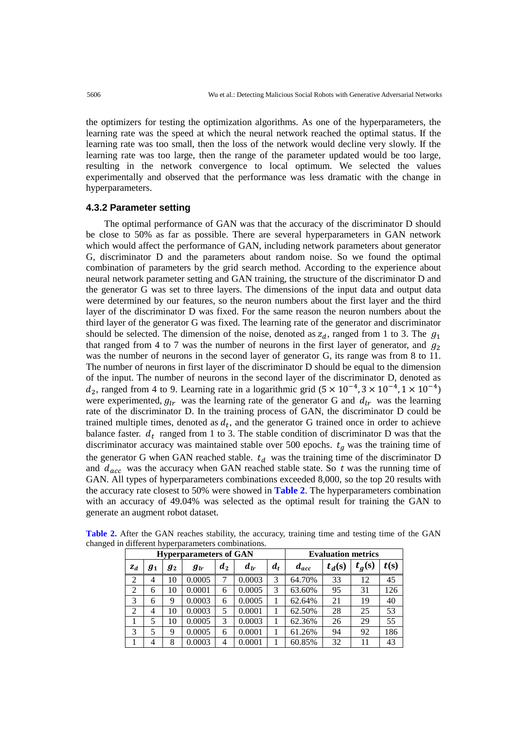the optimizers for testing the optimization algorithms. As one of the hyperparameters, the learning rate was the speed at which the neural network reached the optimal status. If the learning rate was too small, then the loss of the network would decline very slowly. If the learning rate was too large, then the range of the parameter updated would be too large, resulting in the network convergence to local optimum. We selected the values experimentally and observed that the performance was less dramatic with the change in hyperparameters.

# **4.3.2 Parameter setting**

The optimal performance of GAN was that the accuracy of the discriminator D should be close to 50% as far as possible. There are several hyperparameters in GAN network which would affect the performance of GAN, including network parameters about generator G, discriminator D and the parameters about random noise. So we found the optimal combination of parameters by the grid search method. According to the experience about neural network parameter setting and GAN training, the structure of the discriminator D and the generator G was set to three layers. The dimensions of the input data and output data were determined by our features, so the neuron numbers about the first layer and the third layer of the discriminator D was fixed. For the same reason the neuron numbers about the third layer of the generator G was fixed. The learning rate of the generator and discriminator should be selected. The dimension of the noise, denoted as  $z_d$ , ranged from 1 to 3. The  $g_1$ that ranged from 4 to 7 was the number of neurons in the first layer of generator, and  $q_2$ was the number of neurons in the second layer of generator G, its range was from 8 to 11. The number of neurons in first layer of the discriminator D should be equal to the dimension of the input. The number of neurons in the second layer of the discriminator D, denoted as  $d_2$ , ranged from 4 to 9. Learning rate in a logarithmic grid (5 × 10<sup>-4</sup>, 3 × 10<sup>-4</sup>, 1 × 10<sup>-4</sup>) were experimented,  $g_{lr}$  was the learning rate of the generator G and  $d_{lr}$  was the learning rate of the discriminator D. In the training process of GAN, the discriminator D could be trained multiple times, denoted as  $d_t$ , and the generator G trained once in order to achieve balance faster.  $d_t$  ranged from 1 to 3. The stable condition of discriminator D was that the discriminator accuracy was maintained stable over 500 epochs.  $t_a$  was the training time of the generator G when GAN reached stable.  $t_d$  was the training time of the discriminator D and  $d_{acc}$  was the accuracy when GAN reached stable state. So t was the running time of GAN. All types of hyperparameters combinations exceeded 8,000, so the top 20 results with the accuracy rate closest to 50% were showed in **Table 2**. The hyperparameters combination with an accuracy of 49.04% was selected as the optimal result for training the GAN to generate an augment robot dataset.

| <b>Hyperparameters of GAN</b> |            |            |          |       |          |       | <b>Evaluation metrics</b> |          |          |      |  |
|-------------------------------|------------|------------|----------|-------|----------|-------|---------------------------|----------|----------|------|--|
| $z_d$                         | $\bm{g}_1$ | $\bm{g}_2$ | $g_{lr}$ | $d_2$ | $d_{lr}$ | $d_t$ | $d_{acc}$                 | $t_d(s)$ | $t_g(s)$ | t(s) |  |
| 2                             | 4          | 10         | 0.0005   | 7     | 0.0003   | 3     | 64.70%                    | 33       | 12       | 45   |  |
| 2                             | 6          | 10         | 0.0001   | 6     | 0.0005   | 3     | 63.60%                    | 95       | 31       | 126  |  |
| 3                             | 6          | 9          | 0.0003   | 6     | 0.0005   |       | 62.64%                    | 21       | 19       | 40   |  |
| $\overline{c}$                | 4          | 10         | 0.0003   | 5     | 0.0001   |       | 62.50%                    | 28       | 25       | 53   |  |
|                               | 5          | 10         | 0.0005   | 3     | 0.0003   |       | 62.36%                    | 26       | 29       | 55   |  |
| 3                             | 5          | 9          | 0.0005   | 6     | 0.0001   |       | 61.26%                    | 94       | 92       | 186  |  |
|                               | 4          | 8          | 0.0003   | 4     | 0.0001   |       | 60.85%                    | 32       | 11       | 43   |  |

**Table 2.** After the GAN reaches stability, the accuracy, training time and testing time of the GAN changed in different hyperparameters combinations.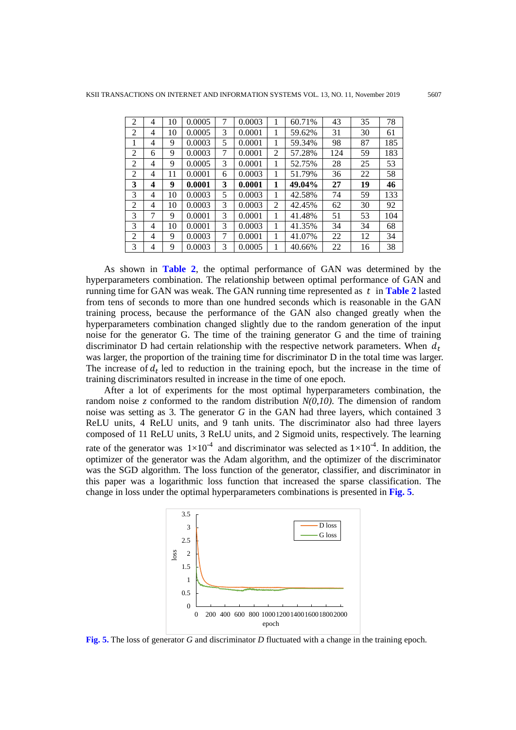| $\overline{2}$ | 4 | 10 | 0.0005 |   | 0.0003 |   | 60.71% | 43  | 35 | 78  |
|----------------|---|----|--------|---|--------|---|--------|-----|----|-----|
| 2              | 4 | 10 | 0.0005 | 3 | 0.0001 | 1 | 59.62% | 31  | 30 | 61  |
| 1              | 4 | 9  | 0.0003 | 5 | 0.0001 | 1 | 59.34% | 98  | 87 | 185 |
| 2              | 6 | 9  | 0.0003 | 7 | 0.0001 | 2 | 57.28% | 124 | 59 | 183 |
| $\overline{c}$ | 4 | 9  | 0.0005 | 3 | 0.0001 | 1 | 52.75% | 28  | 25 | 53  |
| 2              | 4 | 11 | 0.0001 | 6 | 0.0003 | 1 | 51.79% | 36  | 22 | 58  |
| 3              | 4 | 9  | 0.0001 | 3 | 0.0001 | 1 | 49.04% | 27  | 19 | 46  |
| 3              | 4 | 10 | 0.0003 | 5 | 0.0003 | 1 | 42.58% | 74  | 59 | 133 |
| 2              | 4 | 10 | 0.0003 | 3 | 0.0003 | 2 | 42.45% | 62  | 30 | 92  |
| 3              | 7 | 9  | 0.0001 | 3 | 0.0001 | 1 | 41.48% | 51  | 53 | 104 |
| 3              | 4 | 10 | 0.0001 | 3 | 0.0003 | 1 | 41.35% | 34  | 34 | 68  |
| $\mathfrak{D}$ | 4 | 9  | 0.0003 | 7 | 0.0001 | 1 | 41.07% | 22  | 12 | 34  |
| 3              | 4 | 9  | 0.0003 | 3 | 0.0005 |   | 40.66% | 22  | 16 | 38  |

As shown in **Table 2**, the optimal performance of GAN was determined by the hyperparameters combination. The relationship between optimal performance of GAN and running time for GAN was weak. The GAN running time represented as  $t$  in **Table 2** lasted from tens of seconds to more than one hundred seconds which is reasonable in the GAN training process, because the performance of the GAN also changed greatly when the hyperparameters combination changed slightly due to the random generation of the input noise for the generator G. The time of the training generator G and the time of training discriminator D had certain relationship with the respective network parameters. When  $d_t$ was larger, the proportion of the training time for discriminator D in the total time was larger. The increase of  $d_t$  led to reduction in the training epoch, but the increase in the time of training discriminators resulted in increase in the time of one epoch.

After a lot of experiments for the most optimal hyperparameters combination, the random noise *z* conformed to the random distribution *N(0,10)*. The dimension of random noise was setting as 3. The generator *G* in the GAN had three layers, which contained 3 ReLU units, 4 ReLU units, and 9 tanh units. The discriminator also had three layers composed of 11 ReLU units, 3 ReLU units, and 2 Sigmoid units, respectively. The learning rate of the generator was  $1 \times 10^{-4}$  and discriminator was selected as  $1 \times 10^{-4}$ . In addition, the optimizer of the generator was the Adam algorithm, and the optimizer of the discriminator was the SGD algorithm. The loss function of the generator, classifier, and discriminator in this paper was a logarithmic loss function that increased the sparse classification. The change in loss under the optimal hyperparameters combinations is presented in **Fig. 5**.



**Fig. 5.** The loss of generator *G* and discriminator *D* fluctuated with a change in the training epoch.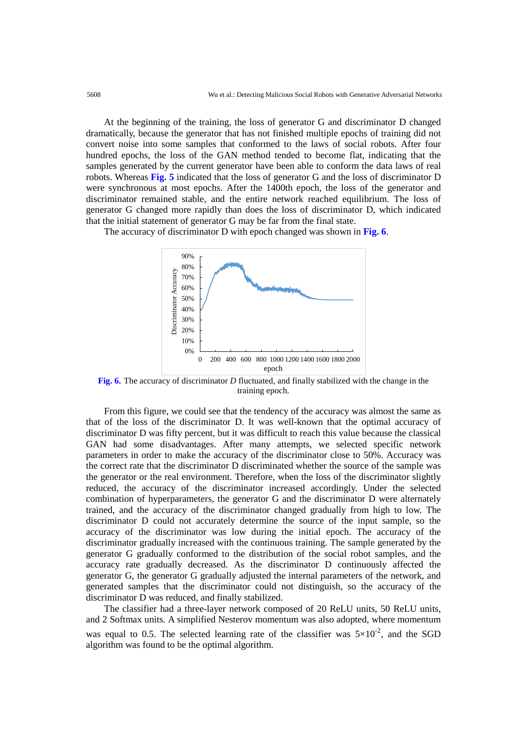At the beginning of the training, the loss of generator G and discriminator D changed dramatically, because the generator that has not finished multiple epochs of training did not convert noise into some samples that conformed to the laws of social robots. After four hundred epochs, the loss of the GAN method tended to become flat, indicating that the samples generated by the current generator have been able to conform the data laws of real robots. Whereas **Fig. 5** indicated that the loss of generator G and the loss of discriminator D were synchronous at most epochs. After the 1400th epoch, the loss of the generator and discriminator remained stable, and the entire network reached equilibrium. The loss of generator G changed more rapidly than does the loss of discriminator D, which indicated that the initial statement of generator G may be far from the final state.

The accuracy of discriminator D with epoch changed was shown in **Fig. 6**.



**Fig. 6.** The accuracy of discriminator *D* fluctuated, and finally stabilized with the change in the training epoch.

From this figure, we could see that the tendency of the accuracy was almost the same as that of the loss of the discriminator D. It was well-known that the optimal accuracy of discriminator D was fifty percent, but it was difficult to reach this value because the classical GAN had some disadvantages. After many attempts, we selected specific network parameters in order to make the accuracy of the discriminator close to 50%. Accuracy was the correct rate that the discriminator D discriminated whether the source of the sample was the generator or the real environment. Therefore, when the loss of the discriminator slightly reduced, the accuracy of the discriminator increased accordingly. Under the selected combination of hyperparameters, the generator G and the discriminator D were alternately trained, and the accuracy of the discriminator changed gradually from high to low. The discriminator D could not accurately determine the source of the input sample, so the accuracy of the discriminator was low during the initial epoch. The accuracy of the discriminator gradually increased with the continuous training. The sample generated by the generator G gradually conformed to the distribution of the social robot samples, and the accuracy rate gradually decreased. As the discriminator D continuously affected the generator G, the generator G gradually adjusted the internal parameters of the network, and generated samples that the discriminator could not distinguish, so the accuracy of the discriminator D was reduced, and finally stabilized.

The classifier had a three-layer network composed of 20 ReLU units, 50 ReLU units, and 2 Softmax units. A simplified Nesterov momentum was also adopted, where momentum was equal to 0.5. The selected learning rate of the classifier was  $5\times10^{-2}$ , and the SGD algorithm was found to be the optimal algorithm.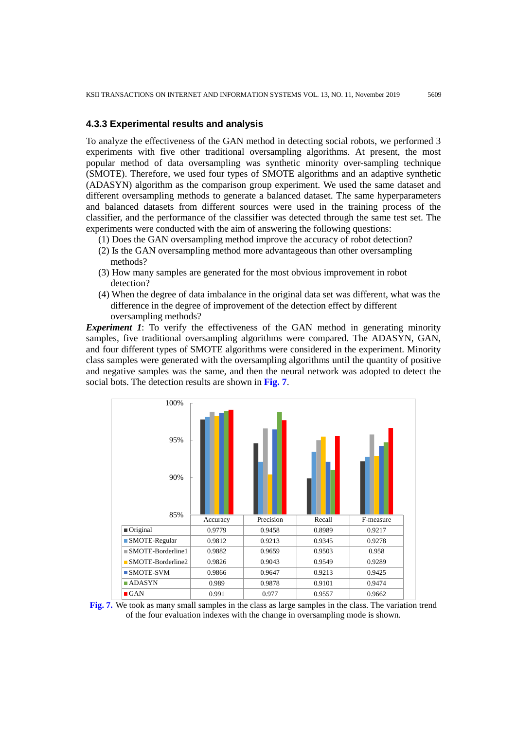## **4.3.3 Experimental results and analysis**

To analyze the effectiveness of the GAN method in detecting social robots, we performed 3 experiments with five other traditional oversampling algorithms. At present, the most popular method of data oversampling was synthetic minority over-sampling technique (SMOTE). Therefore, we used four types of SMOTE algorithms and an adaptive synthetic (ADASYN) algorithm as the comparison group experiment. We used the same dataset and different oversampling methods to generate a balanced dataset. The same hyperparameters and balanced datasets from different sources were used in the training process of the classifier, and the performance of the classifier was detected through the same test set. The experiments were conducted with the aim of answering the following questions:

- (1) Does the GAN oversampling method improve the accuracy of robot detection?
- (2) Is the GAN oversampling method more advantageous than other oversampling methods?
- (3) How many samples are generated for the most obvious improvement in robot detection?
- (4) When the degree of data imbalance in the original data set was different, what was the difference in the degree of improvement of the detection effect by different oversampling methods?

*Experiment 1*: To verify the effectiveness of the GAN method in generating minority samples, five traditional oversampling algorithms were compared. The ADASYN, GAN, and four different types of SMOTE algorithms were considered in the experiment. Minority class samples were generated with the oversampling algorithms until the quantity of positive and negative samples was the same, and then the neural network was adopted to detect the social bots. The detection results are shown in **Fig. 7**.



**Fig. 7.** We took as many small samples in the class as large samples in the class. The variation trend of the four evaluation indexes with the change in oversampling mode is shown.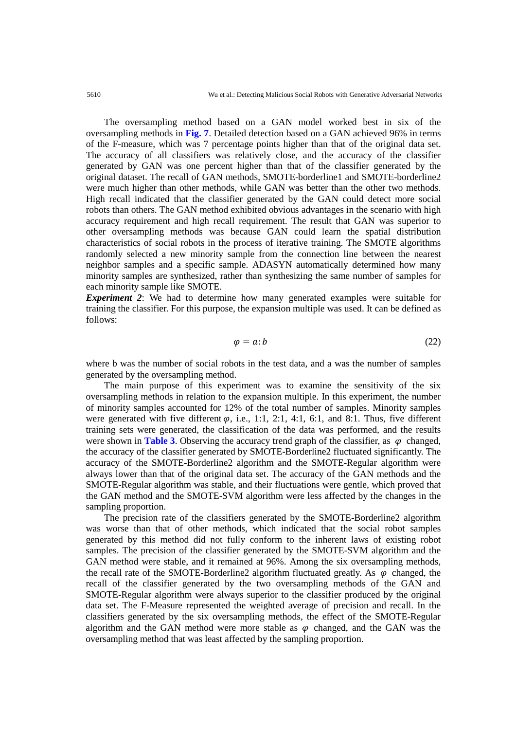The oversampling method based on a GAN model worked best in six of the oversampling methods in **Fig. 7**. Detailed detection based on a GAN achieved 96% in terms of the F-measure, which was 7 percentage points higher than that of the original data set. The accuracy of all classifiers was relatively close, and the accuracy of the classifier generated by GAN was one percent higher than that of the classifier generated by the original dataset. The recall of GAN methods, SMOTE-borderline1 and SMOTE-borderline2 were much higher than other methods, while GAN was better than the other two methods. High recall indicated that the classifier generated by the GAN could detect more social robots than others. The GAN method exhibited obvious advantages in the scenario with high accuracy requirement and high recall requirement. The result that GAN was superior to other oversampling methods was because GAN could learn the spatial distribution characteristics of social robots in the process of iterative training. The SMOTE algorithms randomly selected a new minority sample from the connection line between the nearest neighbor samples and a specific sample. ADASYN automatically determined how many minority samples are synthesized, rather than synthesizing the same number of samples for each minority sample like SMOTE.

*Experiment 2*: We had to determine how many generated examples were suitable for training the classifier. For this purpose, the expansion multiple was used. It can be defined as follows:

$$
\varphi = a:b \tag{22}
$$

where b was the number of social robots in the test data, and a was the number of samples generated by the oversampling method.

The main purpose of this experiment was to examine the sensitivity of the six oversampling methods in relation to the expansion multiple. In this experiment, the number of minority samples accounted for 12% of the total number of samples. Minority samples were generated with five different  $\varphi$ , i.e., 1:1, 2:1, 4:1, 6:1, and 8:1. Thus, five different training sets were generated, the classification of the data was performed, and the results were shown in **Table 3**. Observing the accuracy trend graph of the classifier, as  $\varphi$  changed, the accuracy of the classifier generated by SMOTE-Borderline2 fluctuated significantly. The accuracy of the SMOTE-Borderline2 algorithm and the SMOTE-Regular algorithm were always lower than that of the original data set. The accuracy of the GAN methods and the SMOTE-Regular algorithm was stable, and their fluctuations were gentle, which proved that the GAN method and the SMOTE-SVM algorithm were less affected by the changes in the sampling proportion.

The precision rate of the classifiers generated by the SMOTE-Borderline2 algorithm was worse than that of other methods, which indicated that the social robot samples generated by this method did not fully conform to the inherent laws of existing robot samples. The precision of the classifier generated by the SMOTE-SVM algorithm and the GAN method were stable, and it remained at 96%. Among the six oversampling methods, the recall rate of the SMOTE-Borderline2 algorithm fluctuated greatly. As  $\varphi$  changed, the recall of the classifier generated by the two oversampling methods of the GAN and SMOTE-Regular algorithm were always superior to the classifier produced by the original data set. The F-Measure represented the weighted average of precision and recall. In the classifiers generated by the six oversampling methods, the effect of the SMOTE-Regular algorithm and the GAN method were more stable as  $\varphi$  changed, and the GAN was the oversampling method that was least affected by the sampling proportion.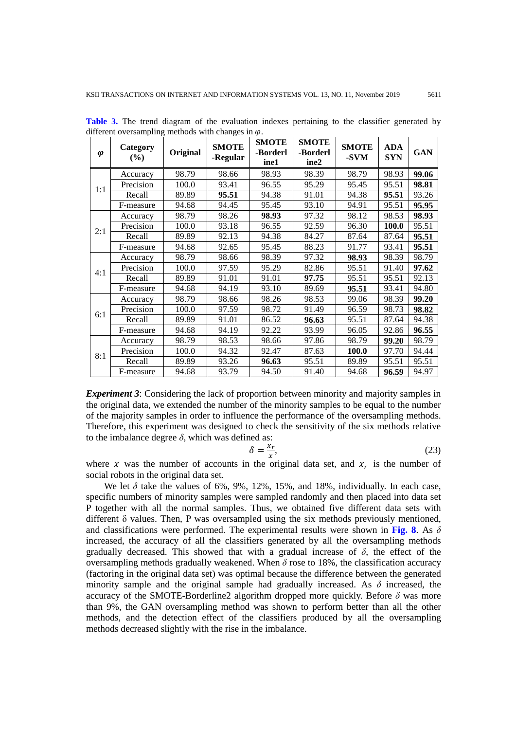| $\boldsymbol{\varphi}$ | Category<br>(%) | Original | <b>SMOTE</b><br>-Regular | <b>SMOTE</b><br>-Borderl<br>ine1 | <b>SMOTE</b><br>-Borderl<br>ine2 | <b>SMOTE</b><br>-SVM | <b>ADA</b><br><b>SYN</b> | <b>GAN</b> |
|------------------------|-----------------|----------|--------------------------|----------------------------------|----------------------------------|----------------------|--------------------------|------------|
|                        | Accuracy        | 98.79    | 98.66                    | 98.93                            | 98.39                            | 98.79                | 98.93                    | 99.06      |
| 1:1                    | Precision       | 100.0    | 93.41                    | 96.55                            | 95.29                            | 95.45                | 95.51                    | 98.81      |
|                        | Recall          | 89.89    | 95.51                    | 94.38                            | 91.01                            | 94.38                | 95.51                    | 93.26      |
|                        | F-measure       | 94.68    | 94.45                    | 95.45                            | 93.10                            | 94.91                | 95.51                    | 95.95      |
|                        | Accuracy        | 98.79    | 98.26                    | 98.93                            | 97.32                            | 98.12                | 98.53                    | 98.93      |
| 2:1                    | Precision       | 100.0    | 93.18                    | 96.55                            | 92.59                            | 96.30                | 100.0                    | 95.51      |
|                        | Recall          | 89.89    | 92.13                    | 94.38                            | 84.27                            | 87.64                | 87.64                    | 95.51      |
|                        | F-measure       | 94.68    | 92.65                    | 95.45                            | 88.23                            | 91.77                | 93.41                    | 95.51      |
|                        | Accuracy        | 98.79    | 98.66                    | 98.39                            | 97.32                            | 98.93                | 98.39                    | 98.79      |
|                        | Precision       | 100.0    | 97.59                    | 95.29                            | 82.86                            | 95.51                | 91.40                    | 97.62      |
| 4:1                    | Recall          | 89.89    | 91.01                    | 91.01                            | 97.75                            | 95.51                | 95.51                    | 92.13      |
|                        | F-measure       | 94.68    | 94.19                    | 93.10                            | 89.69                            | 95.51                | 93.41                    | 94.80      |
|                        | Accuracy        | 98.79    | 98.66                    | 98.26                            | 98.53                            | 99.06                | 98.39                    | 99.20      |
|                        | Precision       | 100.0    | 97.59                    | 98.72                            | 91.49                            | 96.59                | 98.73                    | 98.82      |
| 6:1                    | Recall          | 89.89    | 91.01                    | 86.52                            | 96.63                            | 95.51                | 87.64                    | 94.38      |
|                        | F-measure       | 94.68    | 94.19                    | 92.22                            | 93.99                            | 96.05                | 92.86                    | 96.55      |
| 8:1                    | Accuracy        | 98.79    | 98.53                    | 98.66                            | 97.86                            | 98.79                | 99.20                    | 98.79      |
|                        | Precision       | 100.0    | 94.32                    | 92.47                            | 87.63                            | 100.0                | 97.70                    | 94.44      |
|                        | Recall          | 89.89    | 93.26                    | 96.63                            | 95.51                            | 89.89                | 95.51                    | 95.51      |
|                        | F-measure       | 94.68    | 93.79                    | 94.50                            | 91.40                            | 94.68                | 96.59                    | 94.97      |

**Table 3.** The trend diagram of the evaluation indexes pertaining to the classifier generated by different oversampling methods with changes in  $\omega$ .

*Experiment 3*: Considering the lack of proportion between minority and majority samples in the original data, we extended the number of the minority samples to be equal to the number of the majority samples in order to influence the performance of the oversampling methods. Therefore, this experiment was designed to check the sensitivity of the six methods relative to the imbalance degree  $\delta$ , which was defined as:

$$
\delta = \frac{x_r}{x},\tag{23}
$$

where x was the number of accounts in the original data set, and  $x_r$  is the number of social robots in the original data set.

We let  $\delta$  take the values of 6%, 9%, 12%, 15%, and 18%, individually. In each case, specific numbers of minority samples were sampled randomly and then placed into data set P together with all the normal samples. Thus, we obtained five different data sets with different δ values. Then, P was oversampled using the six methods previously mentioned, and classifications were performed. The experimental results were shown in **Fig. 8**. As *δ* increased, the accuracy of all the classifiers generated by all the oversampling methods gradually decreased. This showed that with a gradual increase of  $\delta$ , the effect of the oversampling methods gradually weakened. When  $\delta$  rose to 18%, the classification accuracy (factoring in the original data set) was optimal because the difference between the generated minority sample and the original sample had gradually increased. As  $\delta$  increased, the accuracy of the SMOTE-Borderline2 algorithm dropped more quickly. Before  $\delta$  was more than 9%, the GAN oversampling method was shown to perform better than all the other methods, and the detection effect of the classifiers produced by all the oversampling methods decreased slightly with the rise in the imbalance.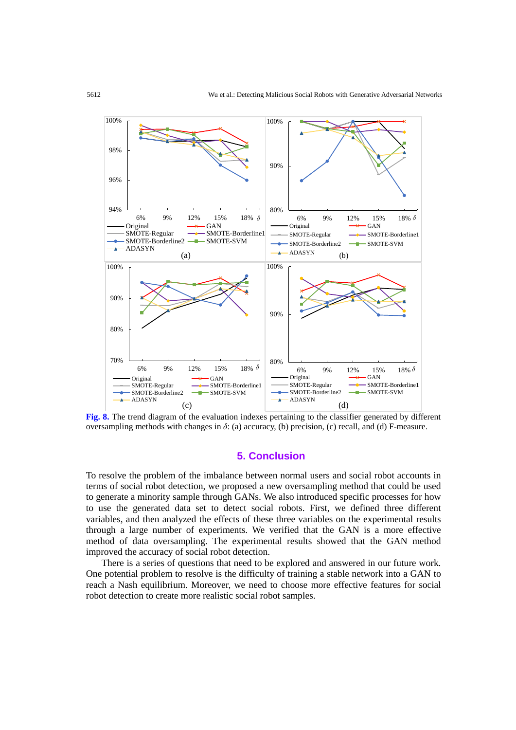

**Fig. 8.** The trend diagram of the evaluation indexes pertaining to the classifier generated by different oversampling methods with changes in *δ*: (a) accuracy, (b) precision, (c) recall, and (d) F-measure.

# **5. Conclusion**

To resolve the problem of the imbalance between normal users and social robot accounts in terms of social robot detection, we proposed a new oversampling method that could be used to generate a minority sample through GANs. We also introduced specific processes for how to use the generated data set to detect social robots. First, we defined three different variables, and then analyzed the effects of these three variables on the experimental results through a large number of experiments. We verified that the GAN is a more effective method of data oversampling. The experimental results showed that the GAN method improved the accuracy of social robot detection.

There is a series of questions that need to be explored and answered in our future work. One potential problem to resolve is the difficulty of training a stable network into a GAN to reach a Nash equilibrium. Moreover, we need to choose more effective features for social robot detection to create more realistic social robot samples.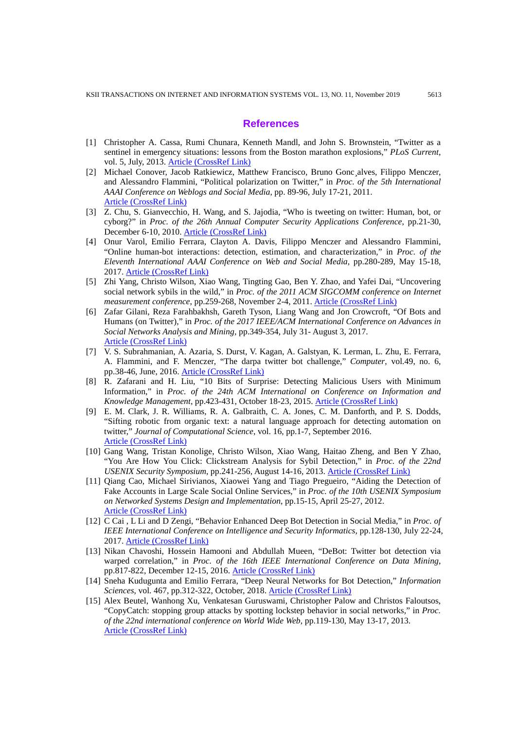#### **References**

- [1] Christopher A. Cassa, Rumi Chunara, Kenneth Mandl, and John S. Brownstein, "Twitter as a sentinel in emergency situations: lessons from the Boston marathon explosions," *PLoS Current*, vol. 5, July, 2013. [Article \(CrossRef Link\)](https://doi.org/10.1371/currents.dis.ad70cd1c8bc585e9470046cde334ee4b)
- [2] Michael Conover, Jacob Ratkiewicz, Matthew Francisco, Bruno Gonc¸alves, Filippo Menczer, and Alessandro Flammini, "Political polarization on Twitter," in *Proc. of the 5th International AAAI Conference on Weblogs and Social Media*, pp. 89-96, July 17-21, 2011. [Article \(CrossRef Link\)](http://citeseerx.ist.psu.edu/viewdoc/summary?doi=10.1.1.470.6086)
- [3] Z. Chu, S. Gianvecchio, H. Wang, and S. Jajodia, "Who is tweeting on twitter: Human, bot, or cyborg?" in *Proc. of the 26th Annual Computer Security Applications Conference*, pp.21-30, December 6-10, 2010. [Article \(CrossRef Link\)](https://doi.org/10.1145/1920261.1920265)
- [4] Onur Varol, Emilio Ferrara, Clayton A. Davis, Filippo Menczer and Alessandro Flammini, "Online human-bot interactions: detection, estimation, and characterization," in *Proc. of the Eleventh International AAAI Conference on Web and Social Media*, pp.280-289, May 15-18, 2017. [Article \(CrossRef Link\)](https://arxiv.org/abs/1703.03107)
- [5] Zhi Yang, Christo Wilson, Xiao Wang, Tingting Gao, Ben Y. Zhao, and Yafei Dai, "Uncovering social network sybils in the wild," in *Proc. of the 2011 ACM SIGCOMM conference on Internet measurement conference*, pp.259-268, November 2-4, 2011. [Article \(CrossRef Link\)](https://doi.org/10.1145/2068816.2068841)
- [6] Zafar Gilani, Reza Farahbakhsh, Gareth Tyson, Liang Wang and Jon Crowcroft, "Of Bots and Humans (on Twitter)," in *Proc. of the 2017 IEEE/ACM International Conference on Advances in Social Networks Analysis and Mining*, pp.349-354, July 31- August 3, 2017. [Article \(CrossRef Link\)](https://doi.org/10.1145/3110025.3110090)
- [7] V. S. Subrahmanian, A. Azaria, S. Durst, V. Kagan, A. Galstyan, K. Lerman, L. Zhu, E. Ferrara, A. Flammini, and F. Menczer, "The darpa twitter bot challenge," *Computer*, vol.49, no. 6, pp.38-46, June, 2016. [Article \(CrossRef Link\)](https://doi.org/10.1109/MC.2016.183)
- [8] R. Zafarani and H. Liu, "10 Bits of Surprise: Detecting Malicious Users with Minimum Information," in *Proc. of the 24th ACM International on Conference on Information and Knowledge Management*, pp.423-431, October 18-23, 2015. [Article \(CrossRef Link\)](https://doi.org/10.1145/2806416.2806535)
- [9] E. M. Clark, J. R. Williams, R. A. Galbraith, C. A. Jones, C. M. Danforth, and P. S. Dodds, "Sifting robotic from organic text: a natural language approach for detecting automation on twitter," *Journal of Computational Science*, vol. 16, pp.1-7, September 2016. [Article \(CrossRef Link\)](https://doi.org/10.1016/j.jocs.2015.11.002)
- [10] Gang Wang, Tristan Konolige, Christo Wilson, Xiao Wang, Haitao Zheng, and Ben Y Zhao, "You Are How You Click: Clickstream Analysis for Sybil Detection," in *Proc. of the 22nd USENIX Security Symposium*, pp.241-256, August 14-16, 2013. [Article \(CrossRef Link\)](https://www.usenix.org/conference/usenixsecurity13/technical-sessions/presentation/wang)
- [11] Qiang Cao, Michael Sirivianos, Xiaowei Yang and Tiago Pregueiro, "Aiding the Detection of Fake Accounts in Large Scale Social Online Services," in *Proc. of the 10th USENIX Symposium on Networked Systems Design and Implementation*, pp.15-15, April 25-27, 2012. [Article \(CrossRef Link\)](https://dl.acm.org/citation.cfm?id=2228319)
- [12] C Cai , L Li and D Zengi, "Behavior Enhanced Deep Bot Detection in Social Media," in *Proc. of IEEE International Conference on Intelligence and Security Informatics*, pp.128-130, July 22-24, 2017. [Article \(CrossRef Link\)](https://doi.org/10.1109/ISI.2017.8004887)
- [13] Nikan Chavoshi, Hossein Hamooni and Abdullah Mueen, "DeBot: Twitter bot detection via warped correlation," in *Proc. of the 16th IEEE International Conference on Data Mining*, pp.817-822, December 12-15, 2016. [Article \(CrossRef Link\)](https://doi.org/10.1109/ICDM.2016.0096)
- [14] Sneha Kudugunta and Emilio Ferrara, "Deep Neural Networks for Bot Detection," *Information Sciences*, vol. 467, pp.312-322, October, 2018. [Article \(CrossRef Link\)](https://doi.org/10.1016/j.ins.2018.08.019)
- [15] Alex Beutel, Wanhong Xu, Venkatesan Guruswami, Christopher Palow and Christos Faloutsos, "CopyCatch: stopping group attacks by spotting lockstep behavior in social networks," in *Proc. of the 22nd international conference on World Wide Web*, pp.119-130, May 13-17, 2013. [Article \(CrossRef Link\)](https://doi.org/10.1145/2488388.2488400)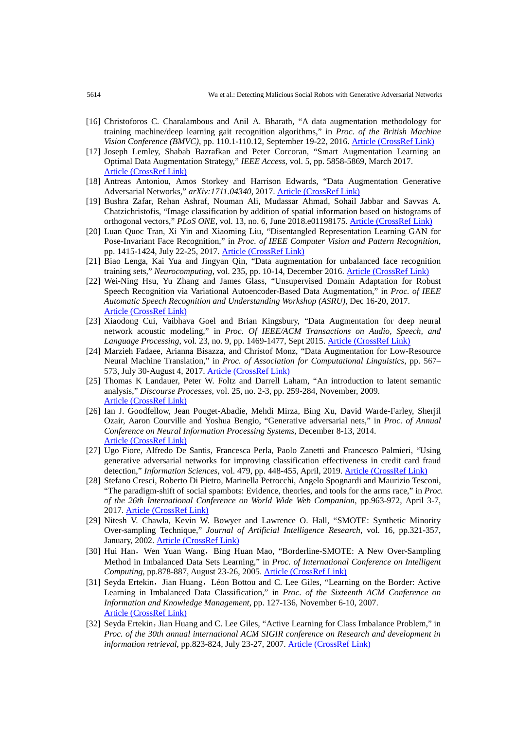- [16] Christoforos C. Charalambous and Anil A. Bharath, "A data augmentation methodology for training machine/deep learning gait recognition algorithms," in *Proc. of the British Machine Vision Conference (BMVC)*, pp. 110.1-110.12, September 19-22, 2016. [Article \(CrossRef Link\)](https://arxiv.org/abs/1610.07570)
- [17] Joseph Lemley, Shabab Bazrafkan and Peter Corcoran, "Smart Augmentation Learning an Optimal Data Augmentation Strategy," *IEEE Access*, vol. 5, pp. 5858-5869, March 2017. [Article \(CrossRef Link\)](https://doi.org/10.1109/ACCESS.2017.2696121)
- [18] Antreas Antoniou, Amos Storkey and Harrison Edwards, "Data Augmentation Generative Adversarial Networks," *arXiv:1711.04340*, 2017. [Article \(CrossRef Link\)](https://arxiv.org/abs/1711.04340)
- [19] Bushra Zafar, Rehan Ashraf, Nouman Ali, Mudassar Ahmad, Sohail Jabbar and Savvas A. Chatzichristofis, "Image classification by addition of spatial information based on histograms of orthogonal vectors," *PLoS ONE*, vol. 13, no. 6, June 2018.e01198175. [Article \(CrossRef Link\)](https://doi.org/10.1371/journal.pone.0198175)
- [20] Luan Quoc Tran, Xi Yin and Xiaoming Liu, "Disentangled Representation Learning GAN for Pose-Invariant Face Recognition," in *Proc. of IEEE Computer Vision and Pattern Recognition*, pp. 1415-1424, July 22-25, 2017. [Article \(CrossRef Link\)](http://openaccess.thecvf.com/content_cvpr_2017/html/Tran_Disentangled_Representation_Learning_CVPR_2017_paper.html)
- [21] Biao Lenga, Kai Yua and Jingyan Qin, "Data augmentation for unbalanced face recognition training sets," *Neurocomputing*, vol. 235, pp. 10-14, December 2016. [Article \(CrossRef Link\)](https://doi.org/10.1016/j.neucom.2016.12.013)
- [22] Wei-Ning Hsu, Yu Zhang and James Glass, "Unsupervised Domain Adaptation for Robust Speech Recognition via Variational Autoencoder-Based Data Augmentation," in *Proc. of IEEE Automatic Speech Recognition and Understanding Workshop (ASRU)*, Dec 16-20, 2017. [Article \(CrossRef Link\)](https://doi.org/10.1109/ASRU.2017.8268911)
- [23] Xiaodong Cui, Vaibhava Goel and [Brian Kingsbury,](https://ieeexplore.ieee.org/author/37284786800) "Data Augmentation for deep neural network acoustic modeling," in *Proc. Of IEEE/ACM Transactions on Audio, Speech, and Language Processing*, vol. 23, no. 9, pp. 1469-1477, Sept 2015. [Article \(CrossRef Link\)](https://doi.org/10.1109/TASLP.2015.2438544)
- [24] Marzieh Fadaee, Arianna Bisazza, and Christof Monz, "Data Augmentation for Low-Resource Neural Machine Translation," in *Proc. of Association for Computational Linguistics*, pp. 567– 573, July 30-August 4, 2017. [Article \(CrossRef Link\)](https://doi.org/10.18653/v1/P17-2090)
- [25] Thomas K Landauer, Peter W. Foltz and Darrell Laham, "An introduction to latent semantic analysis," *Discourse Processes*, vol. 25, no. 2-3, pp. 259-284, November, 2009. [Article \(CrossRef Link\)](https://doi.org/10.1080/01638539809545028)
- [26] Ian J. Goodfellow, Jean Pouget-Abadie, Mehdi Mirza, Bing Xu, David Warde-Farley, Sherjil Ozair, Aaron Courville and Yoshua Bengio, "Generative adversarial nets," in *Proc. of Annual Conference on Neural Information Processing Systems*, December 8-13, 2014. [Article \(CrossRef Link\)](https://arxiv.org/abs/1406.2661)
- [27] Ugo Fiore, Alfredo De Santis, Francesca Perla, Paolo Zanetti and Francesco Palmieri, "Using generative adversarial networks for improving classification effectiveness in credit card fraud detection," *Information Sciences*, vol. 479, pp. 448-455, April, 2019. [Article \(CrossRef Link\)](https://doi.org/10.1016/j.ins.2017.12.030)
- [28] Stefano Cresci, Roberto Di Pietro, Marinella Petrocchi, Angelo Spognardi and Maurizio Tesconi, "The paradigm-shift of social spambots: Evidence, theories, and tools for the arms race," in *Proc. of the 26th International Conference on World Wide Web Companion*, pp.963-972, April 3-7, 2017. [Article \(CrossRef Link\)](https://doi.org/10.1145/3041021.3055135)
- [29] Nitesh V. Chawla, Kevin W. Bowyer and Lawrence O. Hall, "SMOTE: Synthetic Minority Over-sampling Technique," *Journal of Artificial Intelligence Research*, vol. 16, pp.321-357, January, 2002. [Article \(CrossRef Link\)](https://doi.org/10.1613/jair.953)
- [30] Hui Han, Wen Yuan Wang, Bing Huan Mao, "Borderline-SMOTE: A New Over-Sampling Method in Imbalanced Data Sets Learning," in *Proc. of International Conference on Intelligent Computing*, pp.878-887, August 23-26, 2005. [Article \(CrossRef Link\)](https://doi.org/10.1007/11538059_91)
- [31] Seyda Ertekin, Jian Huang, Léon Bottou and C. Lee Giles, "Learning on the Border: Active Learning in Imbalanced Data Classification," in *Proc. of the Sixteenth ACM Conference on Information and Knowledge Management*, pp. 127-136, November 6-10, 2007. [Article \(CrossRef Link\)](https://doi.org/10.1145/1321440.1321461)
- [32] Seyda Ertekin, Jian Huang and C. Lee Giles, "Active Learning for Class Imbalance Problem," in *Proc. of the 30th annual international ACM SIGIR conference on Research and development in information retrieval*, pp.823-824, July 23-27, 2007. [Article \(CrossRef Link\)](https://doi.org/10.1145/1277741.1277927)